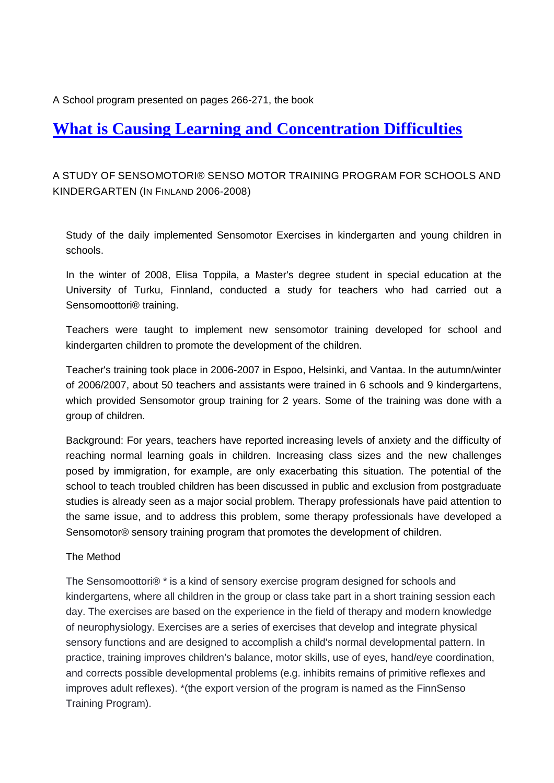A School program presented on pages 266-271, the book

# **What is [Causing Learning and Concentration Difficulties](https://www.amazon.com/What-Causing-Learning-Concentration-Difficulties/dp/9526732065/ref=sr_1_2?Adv-Srch-Books-Submit.x=27&Adv-Srch-Books-Submit.y=3&dchild=1&qid=1624004253&refinements=p_27%3AVeli+Laurinsalo&s=books&sr=1-2&unfiltered=1)**

# A STUDY OF SENSOMOTORI® SENSO MOTOR TRAINING PROGRAM FOR SCHOOLS AND KINDERGARTEN (IN FINLAND 2006-2008)

Study of the daily implemented Sensomotor Exercises in kindergarten and young children in schools.

In the winter of 2008, Elisa Toppila, a Master's degree student in special education at the University of Turku, Finnland, conducted a study for teachers who had carried out a Sensomoottori® training.

Teachers were taught to implement new sensomotor training developed for school and kindergarten children to promote the development of the children.

Teacher's training took place in 2006-2007 in Espoo, Helsinki, and Vantaa. In the autumn/winter of 2006/2007, about 50 teachers and assistants were trained in 6 schools and 9 kindergartens, which provided Sensomotor group training for 2 years. Some of the training was done with a group of children.

Background: For years, teachers have reported increasing levels of anxiety and the difficulty of reaching normal learning goals in children. Increasing class sizes and the new challenges posed by immigration, for example, are only exacerbating this situation. The potential of the school to teach troubled children has been discussed in public and exclusion from postgraduate studies is already seen as a major social problem. Therapy professionals have paid attention to the same issue, and to address this problem, some therapy professionals have developed a Sensomotor® sensory training program that promotes the development of children.

# The Method

The Sensomoottori® \* is a kind of sensory exercise program designed for schools and kindergartens, where all children in the group or class take part in a short training session each day. The exercises are based on the experience in the field of therapy and modern knowledge of neurophysiology. Exercises are a series of exercises that develop and integrate physical sensory functions and are designed to accomplish a child's normal developmental pattern. In practice, training improves children's balance, motor skills, use of eyes, hand/eye coordination, and corrects possible developmental problems (e.g. inhibits remains of primitive reflexes and improves adult reflexes). \*(the export version of the program is named as the FinnSenso Training Program).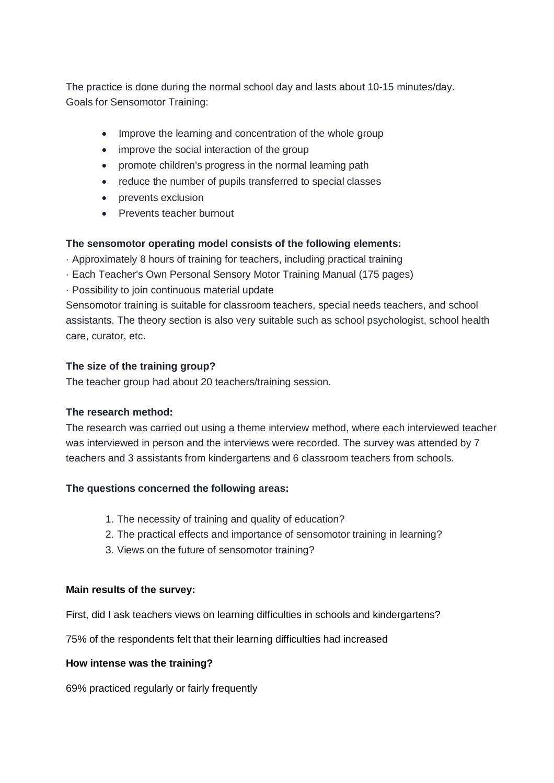The practice is done during the normal school day and lasts about 10-15 minutes/day. Goals for Sensomotor Training:

- Improve the learning and concentration of the whole group
- improve the social interaction of the group
- promote children's progress in the normal learning path
- reduce the number of pupils transferred to special classes
- prevents exclusion
- Prevents teacher burnout

# **The sensomotor operating model consists of the following elements:**

· Approximately 8 hours of training for teachers, including practical training

- · Each Teacher's Own Personal Sensory Motor Training Manual (175 pages)
- · Possibility to join continuous material update

Sensomotor training is suitable for classroom teachers, special needs teachers, and school assistants. The theory section is also very suitable such as school psychologist, school health care, curator, etc.

#### **The size of the training group?**

The teacher group had about 20 teachers/training session.

# **The research method:**

The research was carried out using a theme interview method, where each interviewed teacher was interviewed in person and the interviews were recorded. The survey was attended by 7 teachers and 3 assistants from kindergartens and 6 classroom teachers from schools.

# **The questions concerned the following areas:**

- 1. The necessity of training and quality of education?
- 2. The practical effects and importance of sensomotor training in learning?
- 3. Views on the future of sensomotor training?

#### **Main results of the survey:**

First, did I ask teachers views on learning difficulties in schools and kindergartens?

75% of the respondents felt that their learning difficulties had increased

#### **How intense was the training?**

69% practiced regularly or fairly frequently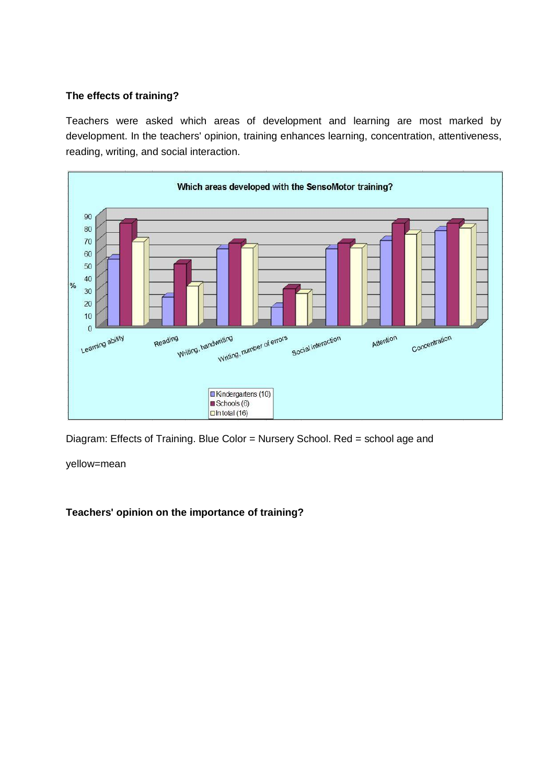#### **The effects of training?**

Teachers were asked which areas of development and learning are most marked by development. In the teachers' opinion, training enhances learning, concentration, attentiveness, reading, writing, and social interaction.



Diagram: Effects of Training. Blue Color = Nursery School. Red = school age and

yellow=mean

**Teachers' opinion on the importance of training?**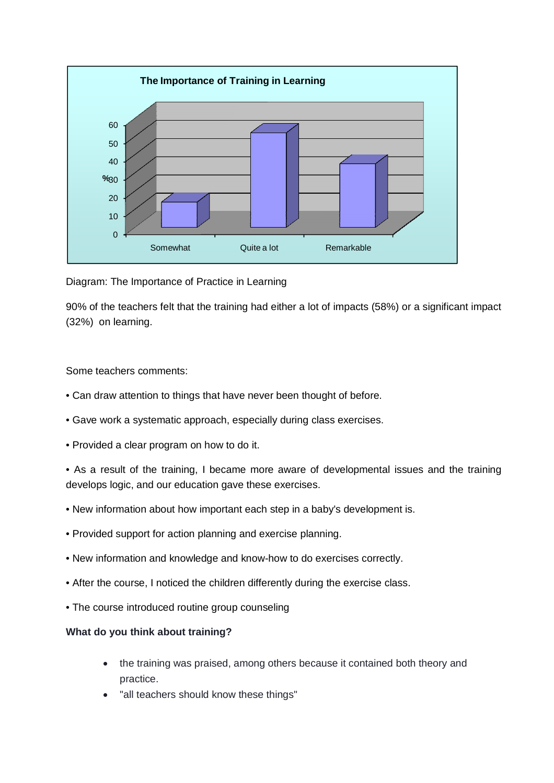

Diagram: The Importance of Practice in Learning

90% of the teachers felt that the training had either a lot of impacts (58%) or a significant impact (32%) on learning.

Some teachers comments:

- Can draw attention to things that have never been thought of before.
- Gave work a systematic approach, especially during class exercises.
- Provided a clear program on how to do it.

• As a result of the training, I became more aware of developmental issues and the training develops logic, and our education gave these exercises.

- New information about how important each step in a baby's development is.
- Provided support for action planning and exercise planning.
- New information and knowledge and know-how to do exercises correctly.
- After the course, I noticed the children differently during the exercise class.
- The course introduced routine group counseling

#### **What do you think about training?**

- the training was praised, among others because it contained both theory and practice.
- "all teachers should know these things"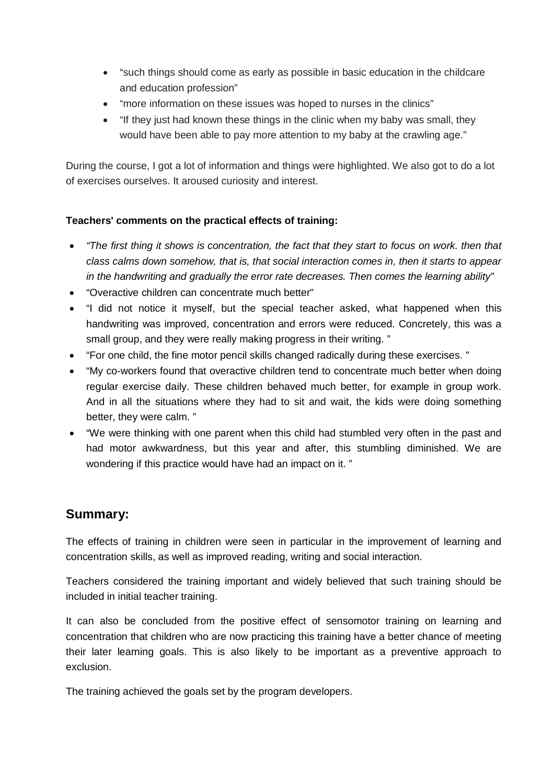- "such things should come as early as possible in basic education in the childcare and education profession"
- "more information on these issues was hoped to nurses in the clinics"
- "If they just had known these things in the clinic when my baby was small, they would have been able to pay more attention to my baby at the crawling age."

During the course, I got a lot of information and things were highlighted. We also got to do a lot of exercises ourselves. It aroused curiosity and interest.

# **Teachers' comments on the practical effects of training:**

- *"The first thing it shows is concentration, the fact that they start to focus on work. then that class calms down somehow, that is, that social interaction comes in, then it starts to appear in the handwriting and gradually the error rate decreases. Then comes the learning ability"*
- "Overactive children can concentrate much better"
- "I did not notice it myself, but the special teacher asked, what happened when this handwriting was improved, concentration and errors were reduced. Concretely, this was a small group, and they were really making progress in their writing. "
- "For one child, the fine motor pencil skills changed radically during these exercises. "
- "My co-workers found that overactive children tend to concentrate much better when doing regular exercise daily. These children behaved much better, for example in group work. And in all the situations where they had to sit and wait, the kids were doing something better, they were calm. "
- "We were thinking with one parent when this child had stumbled very often in the past and had motor awkwardness, but this year and after, this stumbling diminished. We are wondering if this practice would have had an impact on it. "

# **Summary:**

The effects of training in children were seen in particular in the improvement of learning and concentration skills, as well as improved reading, writing and social interaction.

Teachers considered the training important and widely believed that such training should be included in initial teacher training.

It can also be concluded from the positive effect of sensomotor training on learning and concentration that children who are now practicing this training have a better chance of meeting their later learning goals. This is also likely to be important as a preventive approach to exclusion.

The training achieved the goals set by the program developers.